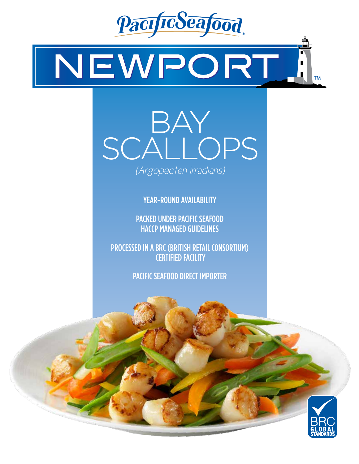

# NEWPORT **TM**



YEAR-ROUND AVAILABILITY

PACKED UNDER PACIFIC SEAFOOD HACCP MANAGED GUIDELINES

PROCESSED IN A BRC (BRITISH RETAIL CONSORTIUM) CERTIFIED FACILITY

PACIFIC SEAFOOD DIRECT IMPORTER